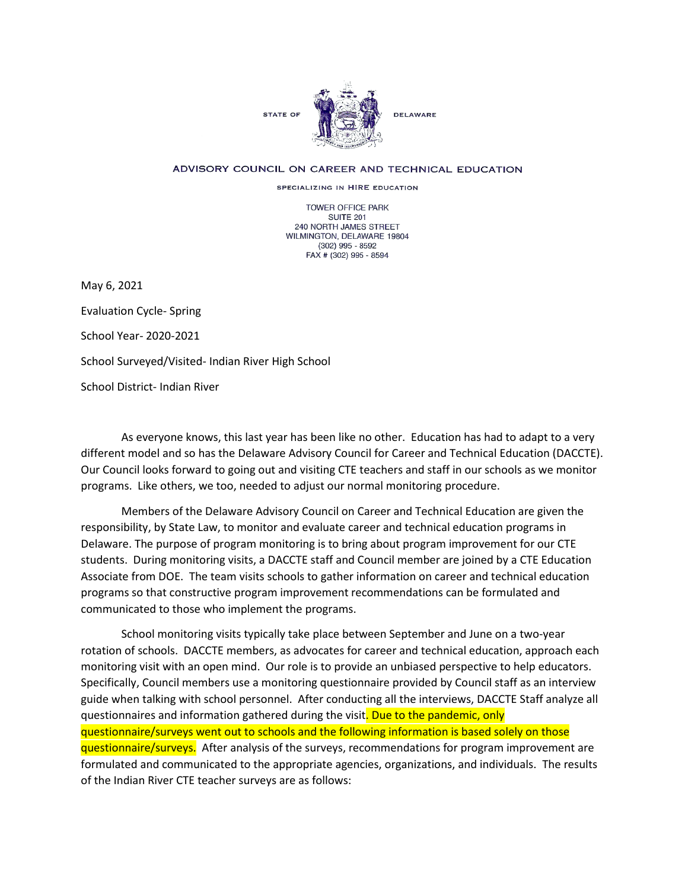

## ADVISORY COUNCIL ON CAREER AND TECHNICAL EDUCATION

SPECIALIZING IN HIRE EDUCATION

TOWER OFFICE PARK SUITE 201 240 NORTH JAMES STREET WILMINGTON, DELAWARE 19804 (302) 995 - 8592 FAX # (302) 995 - 8594

May 6, 2021

Evaluation Cycle- Spring School Year- 2020-2021 School Surveyed/Visited- Indian River High School School District- Indian River

As everyone knows, this last year has been like no other. Education has had to adapt to a very different model and so has the Delaware Advisory Council for Career and Technical Education (DACCTE). Our Council looks forward to going out and visiting CTE teachers and staff in our schools as we monitor programs. Like others, we too, needed to adjust our normal monitoring procedure.

Members of the Delaware Advisory Council on Career and Technical Education are given the responsibility, by State Law, to monitor and evaluate career and technical education programs in Delaware. The purpose of program monitoring is to bring about program improvement for our CTE students. During monitoring visits, a DACCTE staff and Council member are joined by a CTE Education Associate from DOE. The team visits schools to gather information on career and technical education programs so that constructive program improvement recommendations can be formulated and communicated to those who implement the programs.

School monitoring visits typically take place between September and June on a two-year rotation of schools. DACCTE members, as advocates for career and technical education, approach each monitoring visit with an open mind. Our role is to provide an unbiased perspective to help educators. Specifically, Council members use a monitoring questionnaire provided by Council staff as an interview guide when talking with school personnel. After conducting all the interviews, DACCTE Staff analyze all questionnaires and information gathered during the visit. Due to the pandemic, only questionnaire/surveys went out to schools and the following information is based solely on those questionnaire/surveys. After analysis of the surveys, recommendations for program improvement are formulated and communicated to the appropriate agencies, organizations, and individuals. The results of the Indian River CTE teacher surveys are as follows: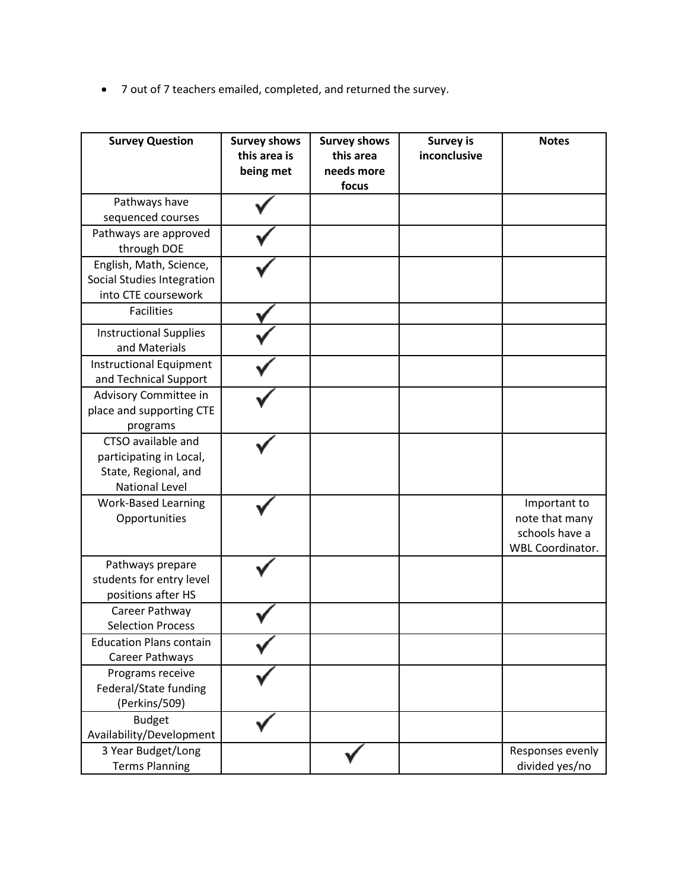• 7 out of 7 teachers emailed, completed, and returned the survey.

| <b>Survey Question</b>                                                                         | <b>Survey shows</b><br>this area is<br>being met | <b>Survey shows</b><br>this area<br>needs more<br>focus | <b>Survey is</b><br>inconclusive | <b>Notes</b>                                                                |
|------------------------------------------------------------------------------------------------|--------------------------------------------------|---------------------------------------------------------|----------------------------------|-----------------------------------------------------------------------------|
| Pathways have<br>sequenced courses                                                             |                                                  |                                                         |                                  |                                                                             |
| Pathways are approved<br>through DOE                                                           |                                                  |                                                         |                                  |                                                                             |
| English, Math, Science,<br>Social Studies Integration<br>into CTE coursework                   |                                                  |                                                         |                                  |                                                                             |
| <b>Facilities</b>                                                                              |                                                  |                                                         |                                  |                                                                             |
| <b>Instructional Supplies</b><br>and Materials                                                 |                                                  |                                                         |                                  |                                                                             |
| <b>Instructional Equipment</b><br>and Technical Support                                        |                                                  |                                                         |                                  |                                                                             |
| Advisory Committee in<br>place and supporting CTE<br>programs                                  |                                                  |                                                         |                                  |                                                                             |
| CTSO available and<br>participating in Local,<br>State, Regional, and<br><b>National Level</b> |                                                  |                                                         |                                  |                                                                             |
| <b>Work-Based Learning</b><br>Opportunities                                                    |                                                  |                                                         |                                  | Important to<br>note that many<br>schools have a<br><b>WBL Coordinator.</b> |
| Pathways prepare<br>students for entry level<br>positions after HS                             |                                                  |                                                         |                                  |                                                                             |
| Career Pathway<br><b>Selection Process</b>                                                     |                                                  |                                                         |                                  |                                                                             |
| <b>Education Plans contain</b><br>Career Pathways                                              |                                                  |                                                         |                                  |                                                                             |
| Programs receive<br>Federal/State funding<br>(Perkins/509)                                     |                                                  |                                                         |                                  |                                                                             |
| <b>Budget</b><br>Availability/Development                                                      |                                                  |                                                         |                                  |                                                                             |
| 3 Year Budget/Long<br><b>Terms Planning</b>                                                    |                                                  |                                                         |                                  | Responses evenly<br>divided yes/no                                          |